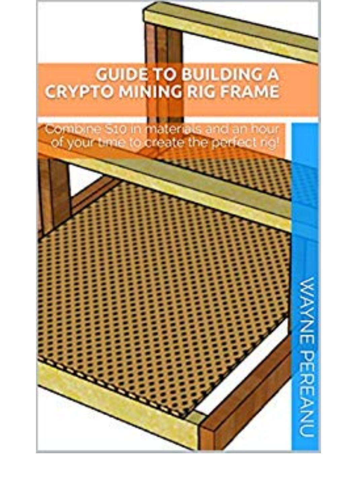## **GUIDE TO BUILDING A<br>CRYPTO MINING RIG FRAME**



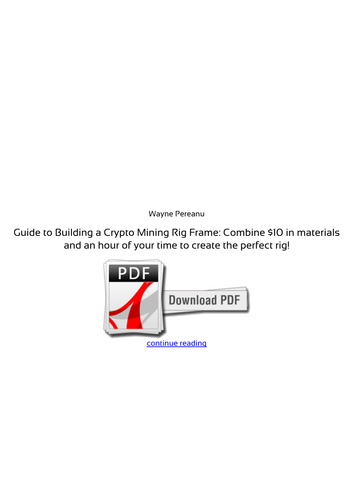*Wayne Pereanu*

**Guide to Building a Crypto Mining Rig Frame: Combine \$10 in materials and an hour of your time to create the perfect rig!**

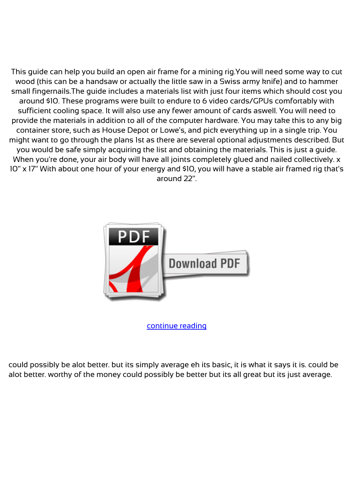This guide can help you build an open air frame for a mining rig.You will need some way to cut wood (this can be a handsaw or actually the little saw in a Swiss army knife) and to hammer small fingernails.The guide includes a materials list with just four items which should cost you around \$10. These programs were built to endure to 6 video cards/GPUs comfortably with sufficient cooling space. It will also use any fewer amount of cards aswell. You will need to provide the materials in addition to all of the computer hardware. You may take this to any big container store, such as House Depot or Lowe's, and pick everything up in a single trip. You might want to go through the plans 1st as there are several optional adjustments described. But you would be safe simply acquiring the list and obtaining the materials. This is just a guide. When you're done, your air body will have all joints completely glued and nailed collectively. x 10" x 17" With about one hour of your energy and \$10, you will have a stable air framed rig that's around 22".



[continue reading](http://bit.ly/2Tge8Fv)

could possibly be alot better. but its simply average eh its basic, it is what it says it is. could be alot better. worthy of the money could possibly be better but its all great but its just average.